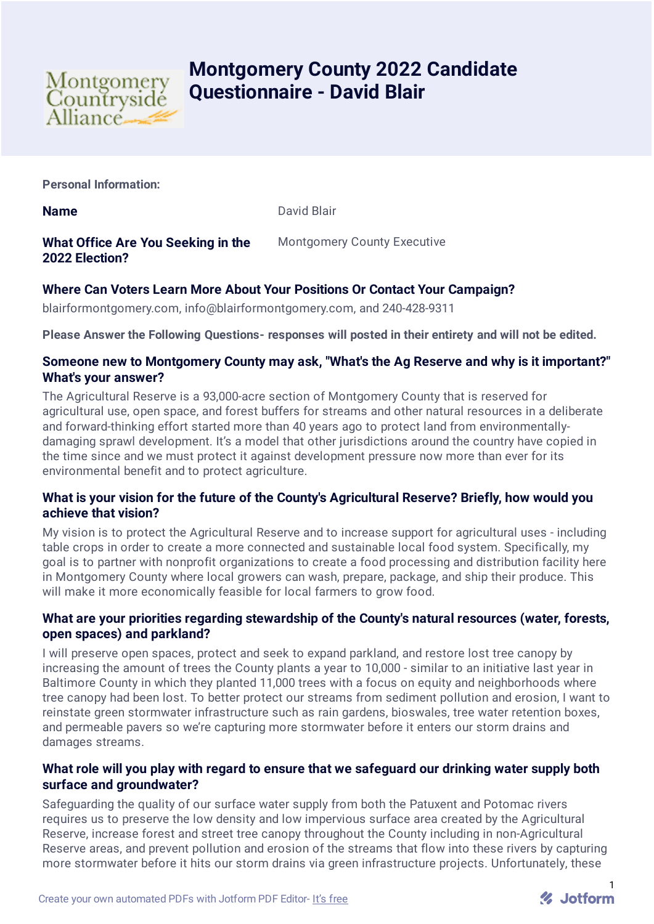

# **Montgomery County 2022 Candidate Questionnaire - David Blair**

**Personal Information:**

**Name** David Blair

**What Office Are You Seeking in the 2022 Election?**

Montgomery County Executive

# **Where Can Voters Learn More About Your Positions Or Contact Your Campaign?**

blairformontgomery.com, info@blairformontgomery.com, and 240-428-9311

**Please Answer the Following Questions- responses will posted in their entirety and will not be edited.**

# **Someone new to Montgomery County may ask, "What's the Ag Reserve and why is it important?" What's your answer?**

The Agricultural Reserve is a 93,000-acre section of Montgomery County that is reserved for agricultural use, open space, and forest buffers for streams and other natural resources in a deliberate and forward-thinking effort started more than 40 years ago to protect land from environmentallydamaging sprawl development. It's a model that other jurisdictions around the country have copied in the time since and we must protect it against development pressure now more than ever for its environmental benefit and to protect agriculture.

# **What is your vision for the future of the County's Agricultural Reserve? Briefly, how would you achieve that vision?**

My vision is to protect the Agricultural Reserve and to increase support for agricultural uses - including table crops in order to create a more connected and sustainable local food system. Specifically, my goal is to partner with nonprofit organizations to create a food processing and distribution facility here in Montgomery County where local growers can wash, prepare, package, and ship their produce. This will make it more economically feasible for local farmers to grow food.

# **What are your priorities regarding stewardship of the County's natural resources (water, forests, open spaces) and parkland?**

I will preserve open spaces, protect and seek to expand parkland, and restore lost tree canopy by increasing the amount of trees the County plants a year to 10,000 - similar to an initiative last year in Baltimore County in which they planted 11,000 trees with a focus on equity and neighborhoods where tree canopy had been lost. To better protect our streams from sediment pollution and erosion, I want to reinstate green stormwater infrastructure such as rain gardens, bioswales, tree water retention boxes, and permeable pavers so we're capturing more stormwater before it enters our storm drains and damages streams.

# **What role will you play with regard to ensure that we safeguard our drinking water supply both surface and groundwater?**

Safeguarding the quality of our surface water supply from both the Patuxent and Potomac rivers requires us to preserve the low density and low impervious surface area created by the Agricultural Reserve, increase forest and street tree canopy throughout the County including in non-Agricultural Reserve areas, and prevent pollution and erosion of the streams that flow into these rivers by capturing more stormwater before it hits our storm drains via green infrastructure projects. Unfortunately, these

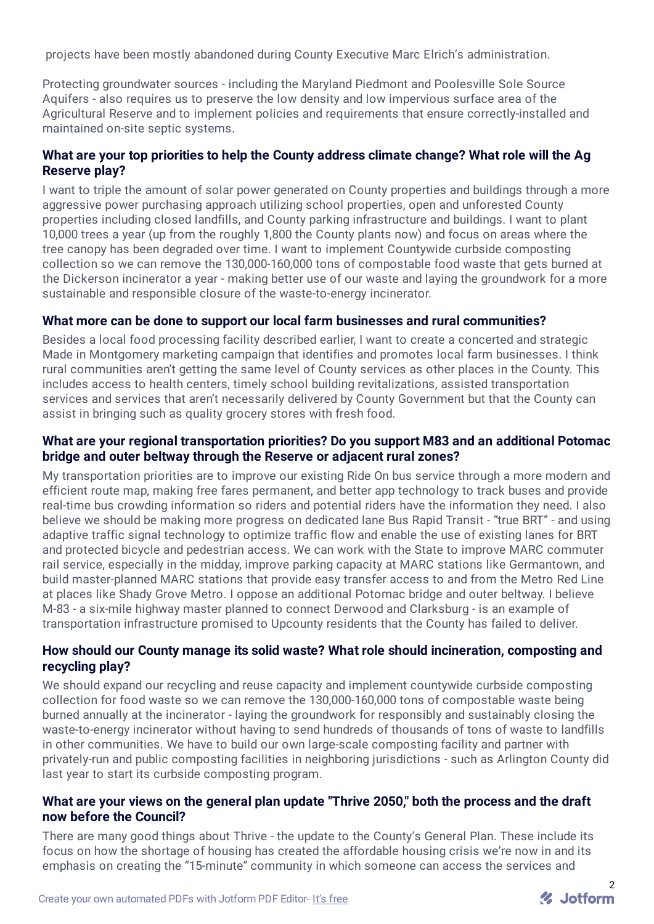projects have been mostly abandoned during County Executive Marc Elrich's administration.

Protecting groundwater sources - including the Maryland Piedmont and Poolesville Sole Source Aquifers - also requires us to preserve the low density and low impervious surface area of the Agricultural Reserve and to implement policies and requirements that ensure correctly-installed and maintained on-site septic systems.

# **What are your top priorities to help the County address climate change? What role will the Ag Reserve play?**

I want to triple the amount of solar power generated on County properties and buildings through a more aggressive power purchasing approach utilizing school properties, open and unforested County properties including closed landfills, and County parking infrastructure and buildings. I want to plant 10,000 trees a year (up from the roughly 1,800 the County plants now) and focus on areas where the tree canopy has been degraded over time. I want to implement Countywide curbside composting collection so we can remove the 130,000-160,000 tons of compostable food waste that gets burned at the Dickerson incinerator a year - making better use of our waste and laying the groundwork for a more sustainable and responsible closure of the waste-to-energy incinerator.

#### **What more can be done to support our local farm businesses and rural communities?**

Besides a local food processing facility described earlier, I want to create a concerted and strategic Made in Montgomery marketing campaign that identifies and promotes local farm businesses. I think rural communities aren't getting the same level of County services as other places in the County. This includes access to health centers, timely school building revitalizations, assisted transportation services and services that aren't necessarily delivered by County Government but that the County can assist in bringing such as quality grocery stores with fresh food.

#### **What are your regional transportation priorities? Do you support M83 and an additional Potomac bridge and outer beltway through the Reserve or adjacent rural zones?**

My transportation priorities are to improve our existing Ride On bus service through a more modern and efficient route map, making free fares permanent, and better app technology to track buses and provide real-time bus crowding information so riders and potential riders have the information they need. I also believe we should be making more progress on dedicated lane Bus Rapid Transit - "true BRT" - and using adaptive traffic signal technology to optimize traffic flow and enable the use of existing lanes for BRT and protected bicycle and pedestrian access. We can work with the State to improve MARC commuter rail service, especially in the midday, improve parking capacity at MARC stations like Germantown, and build master-planned MARC stations that provide easy transfer access to and from the Metro Red Line at places like Shady Grove Metro. I oppose an additional Potomac bridge and outer beltway. I believe M-83 - a six-mile highway master planned to connect Derwood and Clarksburg - is an example of transportation infrastructure promised to Upcounty residents that the County has failed to deliver.

#### **How should our County manage its solid waste? What role should incineration, composting and recycling play?**

We should expand our recycling and reuse capacity and implement countywide curbside composting collection for food waste so we can remove the 130,000-160,000 tons of compostable waste being burned annually at the incinerator - laying the groundwork for responsibly and sustainably closing the waste-to-energy incinerator without having to send hundreds of thousands of tons of waste to landfills in other communities. We have to build our own large-scale composting facility and partner with privately-run and public composting facilities in neighboring jurisdictions - such as Arlington County did last year to start its curbside composting program.

#### **What are your views on the general plan update "Thrive 2050," both the process and the draft now before the Council?**

There are many good things about Thrive - the update to the County's General Plan. These include its focus on how the shortage of housing has created the affordable housing crisis we're now in and its emphasis on creating the "15-minute" community in which someone can access the services and